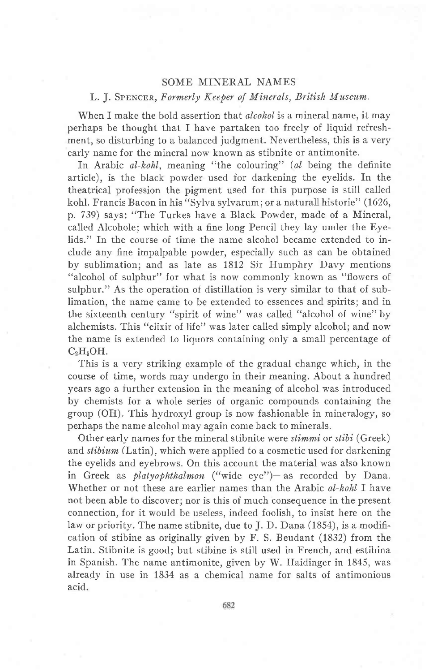## SOME MINERAL NAMES

## L. J. SPENCER, Formerly Keeper of Minerals, British Museum.

When I make the bold assertion that *alcohol* is a mineral name, it may perhaps be thought that I have partaken too freely of liquid refreshment, so disturbing to a balanced judgment. Nevertheless, this is a very early name for the mineral now known as stibnite or antimonite.

In Arabic al-kohl, meaning "the colouring" (al being the definite article), is the black powder used for darkening the eyelids. fn the theatrical profession the pigment used for this purpose is still called kohl. Francis Bacon in his "Sylva sylvarum; or a naturall historie" (1626, p. 739) says: "The Turkes have a Black Powder, made of a Mineral, called Alcohole; which with a fine long Pencil they lav under the Eyelids." In the course of time the name alcohol became extended to include any fine impalpable powder, especialJy such as can be obtained by sublimation; and as late as 1812 Sir Humphry Davy mentions "alcohol of sulphur" for what is now commonly known as "flowers of sulphur." As the operation of distillation is very similar to that of sublimation, the name came to be extended to essences and spirits; and in the sixteenth century "spirit of wine" was called "alcohol of wine" by alchemists. This "elixir of life" was later called simply alcohol; and now the name is extended to liquors containing only a small percentage of  $C_2H_5OH.$ 

This is a very striking example of the gradual change which, in the course of time, words may undergo in their meaning. About a hundred years ago a further extension in the meaning of alcohol was introduced by chemists for a whole series of organic compounds containing the group (OH). This hydroxyl group is now fashionable in mineralogy, so perhaps the name alcohol may again come back to minerals.

Other early names for the mineral stibnite were stimmi or stibi (Greek) and *stibium* (Latin), which were applied to a cosmetic used for darkening the eyelids and eyebrows. On this account the material was also known in Greek as *platyophthalmon* ("wide eye")—as recorded by Dana. Whether or not these are earlier names than the Arabic al-kohl I have not been able to discover; nor is this of much consequence in the present connection, for it would be useless, indeed foolish, to insist here on the law or priority. The name stibnite, due to J. D. Dana (1854), is a modification of stibine as originally given by F. S. Beudant (1832) from the Latin. Stibnite is good; but stibine is still used in French, and estibina in Spanish. The name antimonite, given by W. Haidinger in 1845, was already in use in 1834 as a chemical name for salts of antimonious acid.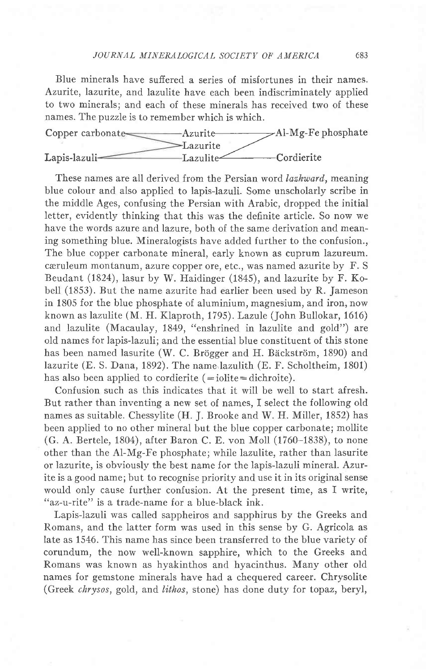## TOURNAL MINERALOGICAL SOCIETV OF AMERICA 683

Blue minerals have sufiered a series of misfortunes in their names. Azurite, lazurite, and lazulite have each been indiscriminately applied to two minerals; and each of these minerals has received two of these names. The puzzle is to remember which is which.



These names are all derived from the Persian word lazhward, meaning blue colour and also applied to lapis-lazuli. Some unscholarly scribe in the middle Ages, confusing the Persian with Arabic, dropped the initial letter, evidently thinking that this was the definite article. So now we have the words azure and lazure, both of the same derivation and meaning something blue. Mineralogists have added further to the confusion., The blue copper carbonate mineral, early known as cuprum lazureum. ceruleum montanum, azure copper ore, etc., was named azurite by F. S Beudant (1824), lasur by W. Haidinger (1845), and lazurite by F. Kobell (1853). But the name azurite had earlier been used by R. Jameson in 1805 for the blue phosphate of aluminium, magnesium, and iron, now known as lazulite (M. H. Klaproth, 1795). Lazule (John Bullokar, 1616) and lazulite (Macaulay, 1849, "enshrined in lazulite and gold") are old names for lapis-lazuli; and the essential blue constituent of this stone has been named lasurite (W. C. Brögger and H. Bäckström, 1890) and lazurite (E. S. Dana, 1892). The name lazulith (E. F. Scholtheim, 1801) has also been applied to cordierite  $(=iolite=dichroite)$ .

Confusion such as this indicates that it will be well to start afresh. But rather than inventing a new set of names, I select the following old names as suitable. Chessylite (H. J. Brooke and W. H. Miller, 1852) has been applied to no other mineral but the blue copper carbonate; mollite (G. A. Bertele, 1804), after Baron C. E. von Moll (1760-1838), to none other than the Al-Mg-Fe phosphate; while lazulite, rather than lasurite or lazurite, is obviously the best name for the lapis-lazuli mineral. Azurite is a good name; but to recognise priority and use it in its original sense would only cause further confusion. At the present time, as I write, "az-u-rite" is a trade-name for a blue-black ink.

Lapis-lazuli was called sappheiros and sapphirus by the Greeks and Romans, and the latter form was used in this sense by G. Agricola as late as 1546. This name has since been transferred to the blue variety of corundum, the now well-known sapphire, which to the Greeks and Romans was known as hyakinthos and hyacinthus. Many other old names for gemstone minerals have had a chequered career. Chrysolite (Greek chrysos, gold, and lithos, stone) has done duty for topaz, beryl,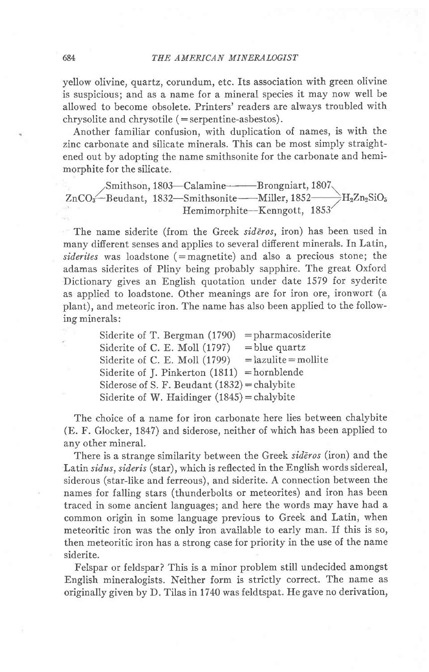yellow olivine, quartz, corundum, etc. Its association with green olivine is suspicious; and as a name for a mineral species it may now well be allowed to become obsolete. Printers' readers are always troubled with  $chrysolite$  and  $chrysotile$  (=serpentine-asbestos).

Another familiar confusion, with duplication of names, is with the zinc carbonate and silicate minerals. This can be most simply straightened out by adopting the name smithsonite for the carbonate and hemimorphite for the silicate.

,,Smithson, 1803-Calamine-Brongniart, 1807.  $\rm ZnCO_3-Beudant, \ 1832-Smithsonite--Miller, 1852--H_2Zn_2SiO_5$ Hemimorphite-Kenngott, 1853'

The name siderite (from the Greek sideros, iron) has been used in many difierent senses and applies to several difierent minerals. fn Latin,  $siderites$  was loadstone (=magnetite) and also a precious stone; the adamas siderites of Pliny being probably sapphire. The great Oxford Dictionary gives an English quotation under date 1579 for syderite as applied to loadstone. Other meanings are for iron ore, ironwort (a plant), and meteoric iron. The name has also been applied to the following minerals:

> Siderite of T. Bergman  $(1790)$  = pharmacosiderite Siderite of C. E. Moll  $(1797)$  = blue quartz Siderite of C. E. Moll  $(1799)$  = lazulite = mollite Siderite of J. Pinkerton  $(1811)$  = hornblende Siderose of S. F. Beudant  $(1832)$  = chalybite Siderite of W. Haidinger  $(1845)$  = chalybite

The choice of a name for iron carbonate here lies between chalybite (E. F. Glocker, 1847) and siderose, neither of which has been applied to any other mineral.

There is a strange similarity between the Greek sideros (iron) and the Latin sidus, sideris (star), which is reflected in the English words sidereal, sjderous (star-like and ferreous), and siderite. A connection between the names for falling stars (thunderbolts or meteorites) and iron has been traced in some ancient languages; and here the words may have had a common origin in some language previous to Greek and Latin, when meteoritic iron was the only iron available to early man. If this is so, then meteoritic iron has a strong case for priority in the use of the name siderite.

Felspar or feldspar? This is a minor problem still undecided amongst English mineralogists. Neither form is strictly correct. The name as originally given by D. Tilas in 1740 was feldtspat. He gave no derivation,